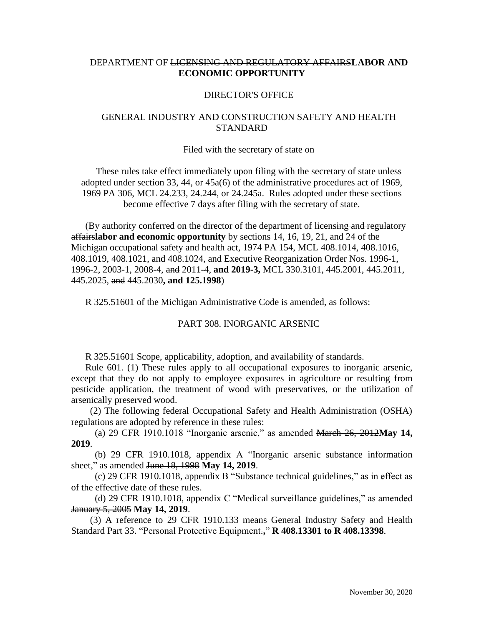# DEPARTMENT OF LICENSING AND REGULATORY AFFAIRS**LABOR AND ECONOMIC OPPORTUNITY**

### DIRECTOR'S OFFICE

# GENERAL INDUSTRY AND CONSTRUCTION SAFETY AND HEALTH **STANDARD**

#### Filed with the secretary of state on

These rules take effect immediately upon filing with the secretary of state unless adopted under section 33, 44, or 45a(6) of the administrative procedures act of 1969, 1969 PA 306, MCL 24.233, 24.244, or 24.245a. Rules adopted under these sections become effective 7 days after filing with the secretary of state.

(By authority conferred on the director of the department of licensing and regulatory affairs**labor and economic opportunity** by sections 14, 16, 19, 21, and 24 of the Michigan occupational safety and health act, 1974 PA 154, MCL 408.1014, 408.1016, 408.1019, 408.1021, and 408.1024, and Executive Reorganization Order Nos. 1996-1, 1996-2, 2003-1, 2008-4, and 2011-4, **and 2019-3,** MCL 330.3101, 445.2001, 445.2011, 445.2025, and 445.2030**, and 125.1998**)

R 325.51601 of the Michigan Administrative Code is amended, as follows:

#### PART 308. INORGANIC ARSENIC

R 325.51601 Scope, applicability, adoption, and availability of standards.

Rule 601. (1) These rules apply to all occupational exposures to inorganic arsenic, except that they do not apply to employee exposures in agriculture or resulting from pesticide application, the treatment of wood with preservatives, or the utilization of arsenically preserved wood.

 (2) The following federal Occupational Safety and Health Administration (OSHA) regulations are adopted by reference in these rules:

 (a) 29 CFR 1910.1018 "Inorganic arsenic," as amended March 26, 2012**May 14, 2019**.

 (b) 29 CFR 1910.1018, appendix A "Inorganic arsenic substance information sheet," as amended June 18, 1998 **May 14, 2019**.

 (c) 29 CFR 1910.1018, appendix B "Substance technical guidelines," as in effect as of the effective date of these rules.

 (d) 29 CFR 1910.1018, appendix C "Medical surveillance guidelines," as amended January 5, 2005 **May 14, 2019**.

 (3) A reference to 29 CFR 1910.133 means General Industry Safety and Health Standard Part 33. "Personal Protective Equipment.**,**" **R 408.13301 to R 408.13398**.